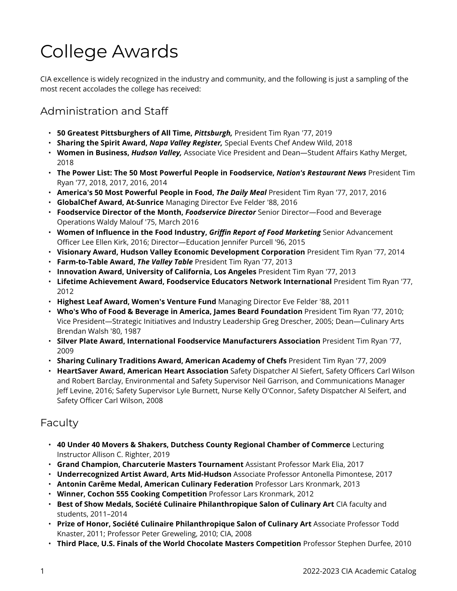# College Awards

CIA excellence is widely recognized in the industry and community, and the following is just a sampling of the most recent accolades the college has received:

# Administration and Staff

- **50 Greatest Pittsburghers of All Time,** *Pittsburgh,* President Tim Ryan '77, 2019
- **Sharing the Spirit Award,** *Napa Valley Register,* Special Events Chef Andew Wild, 2018
- **Women in Business,** *Hudson Valley,* Associate Vice President and Dean—Student Affairs Kathy Merget, 2018
- **The Power List: The 50 Most Powerful People in Foodservice,** *Nation's Restaurant News* President Tim Ryan '77, 2018, 2017, 2016, 2014
- **America's 50 Most Powerful People in Food,** *The Daily Meal* President Tim Ryan '77, 2017, 2016
- **GlobalChef Award, At-Sunrice** Managing Director Eve Felder '88, 2016
- **Foodservice Director of the Month,** *Foodservice Director* Senior Director—Food and Beverage Operations Waldy Malouf '75, March 2016
- **Women of Influence in the Food Industry,** *Griffin Report of Food Marketing* Senior Advancement Officer Lee Ellen Kirk, 2016; Director—Education Jennifer Purcell '96, 2015
- **Visionary Award, Hudson Valley Economic Development Corporation** President Tim Ryan '77, 2014
- **Farm-to-Table Award,** *The Valley Table* President Tim Ryan '77, 2013
- **Innovation Award, University of California, Los Angeles** President Tim Ryan '77, 2013
- **Lifetime Achievement Award, Foodservice Educators Network International** President Tim Ryan '77, 2012
- **Highest Leaf Award, Women's Venture Fund** Managing Director Eve Felder '88, 2011
- **Who's Who of Food & Beverage in America, James Beard Foundation** President Tim Ryan '77, 2010; Vice President—Strategic Initiatives and Industry Leadership Greg Drescher, 2005; Dean—Culinary Arts Brendan Walsh '80, 1987
- **Silver Plate Award, International Foodservice Manufacturers Association** President Tim Ryan '77, 2009
- **Sharing Culinary Traditions Award, American Academy of Chefs** President Tim Ryan '77, 2009
- **HeartSaver Award, American Heart Association** Safety Dispatcher Al Siefert, Safety Officers Carl Wilson and Robert Barclay, Environmental and Safety Supervisor Neil Garrison, and Communications Manager Jeff Levine, 2016; Safety Supervisor Lyle Burnett, Nurse Kelly O'Connor, Safety Dispatcher Al Seifert, and Safety Officer Carl Wilson, 2008

### Faculty

- **40 Under 40 Movers & Shakers, Dutchess County Regional Chamber of Commerce** Lecturing Instructor Allison C. Righter, 2019
- **Grand Champion, Charcuterie Masters Tournament** Assistant Professor Mark Elia, 2017
- **Underrecognized Artist Award, Arts Mid-Hudson** Associate Professor Antonella Pimontese, 2017
- **Antonin Carême Medal, American Culinary Federation** Professor Lars Kronmark, 2013
- **Winner, Cochon 555 Cooking Competition** Professor Lars Kronmark, 2012
- **Best of Show Medals, Société Culinaire Philanthropique Salon of Culinary Art** CIA faculty and students, 2011–2014
- **Prize of Honor, Société Culinaire Philanthropique Salon of Culinary Art** Associate Professor Todd Knaster, 2011; Professor Peter Greweling, 2010; CIA, 2008
- **Third Place, U.S. Finals of the World Chocolate Masters Competition** Professor Stephen Durfee, 2010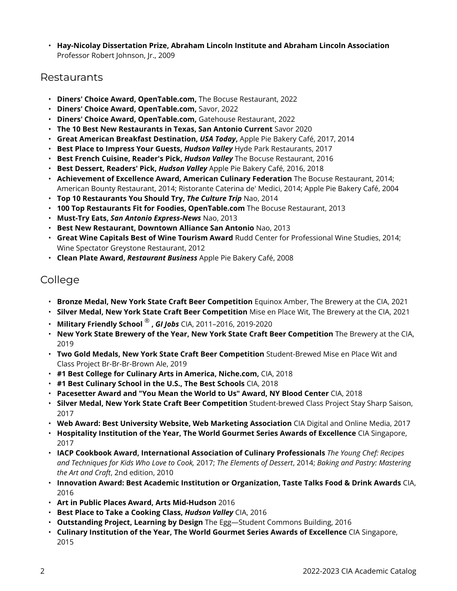• **Hay-Nicolay Dissertation Prize, Abraham Lincoln Institute and Abraham Lincoln Association**  Professor Robert Johnson, Jr., 2009

#### Restaurants

- **Diners' Choice Award, OpenTable.com,** The Bocuse Restaurant, 2022
- **Diners' Choice Award, OpenTable.com,** Savor, 2022
- **Diners' Choice Award, OpenTable.com,** Gatehouse Restaurant, 2022
- **The 10 Best New Restaurants in Texas, San Antonio Current** Savor 2020
- **Great American Breakfast Destination,** *USA Today***,** Apple Pie Bakery Café, 2017, 2014
- **Best Place to Impress Your Guests,** *Hudson Valley* Hyde Park Restaurants, 2017
- **Best French Cuisine, Reader's Pick,** *Hudson Valley* The Bocuse Restaurant, 2016
- **Best Dessert, Readers' Pick,** *Hudson Valley* Apple Pie Bakery Café, 2016, 2018
- **Achievement of Excellence Award, American Culinary Federation** The Bocuse Restaurant, 2014; American Bounty Restaurant, 2014; Ristorante Caterina de' Medici, 2014; Apple Pie Bakery Café, 2004
- **Top 10 Restaurants You Should Try,** *The Culture Trip* Nao, 2014
- **100 Top Restaurants Fit for Foodies, OpenTable.com** The Bocuse Restaurant, 2013
- **Must-Try Eats,** *San Antonio Express-News* Nao, 2013
- **Best New Restaurant, Downtown Alliance San Antonio** Nao, 2013
- **Great Wine Capitals Best of Wine Tourism Award** Rudd Center for Professional Wine Studies, 2014; Wine Spectator Greystone Restaurant, 2012
- **Clean Plate Award,** *Restaurant Business* Apple Pie Bakery Café, 2008

# College

- **Bronze Medal, New York State Craft Beer Competition** Equinox Amber, The Brewery at the CIA, 2021
- **Silver Medal, New York State Craft Beer Competition** Mise en Place Wit, The Brewery at the CIA, 2021
- **Military Friendly School** ® **,** *GI Jobs* CIA, 2011–2016, 2019-2020
- **New York State Brewery of the Year, New York State Craft Beer Competition** The Brewery at the CIA, 2019
- **Two Gold Medals, New York State Craft Beer Competition** Student-Brewed Mise en Place Wit and Class Project Br-Br-Br-Brown Ale, 2019
- **#1 Best College for Culinary Arts in America, Niche.com,** CIA, 2018
- **#1 Best Culinary School in the U.S., The Best Schools** CIA, 2018
- **Pacesetter Award and "You Mean the World to Us" Award, NY Blood Center** CIA, 2018
- **Silver Medal, New York State Craft Beer Competition** Student-brewed Class Project Stay Sharp Saison, 2017
- **Web Award: Best University Website, Web Marketing Association** CIA Digital and Online Media, 2017
- **Hospitality Institution of the Year, The World Gourmet Series Awards of Excellence** CIA Singapore, 2017
- **IACP Cookbook Award, International Association of Culinary Professionals** *The Young Chef: Recipes and Techniques for Kids Who Love to Cook,* 2017; *The Elements of Dessert*, 2014; *Baking and Pastry: Mastering the Art and Craft*, 2nd edition, 2010
- **Innovation Award: Best Academic Institution or Organization, Taste Talks Food & Drink Awards** CIA, 2016
- **Art in Public Places Award, Arts Mid-Hudson** 2016
- **Best Place to Take a Cooking Class,** *Hudson Valley* CIA, 2016
- **Outstanding Project, Learning by Design** The Egg—Student Commons Building, 2016
- **Culinary Institution of the Year, The World Gourmet Series Awards of Excellence** CIA Singapore, 2015